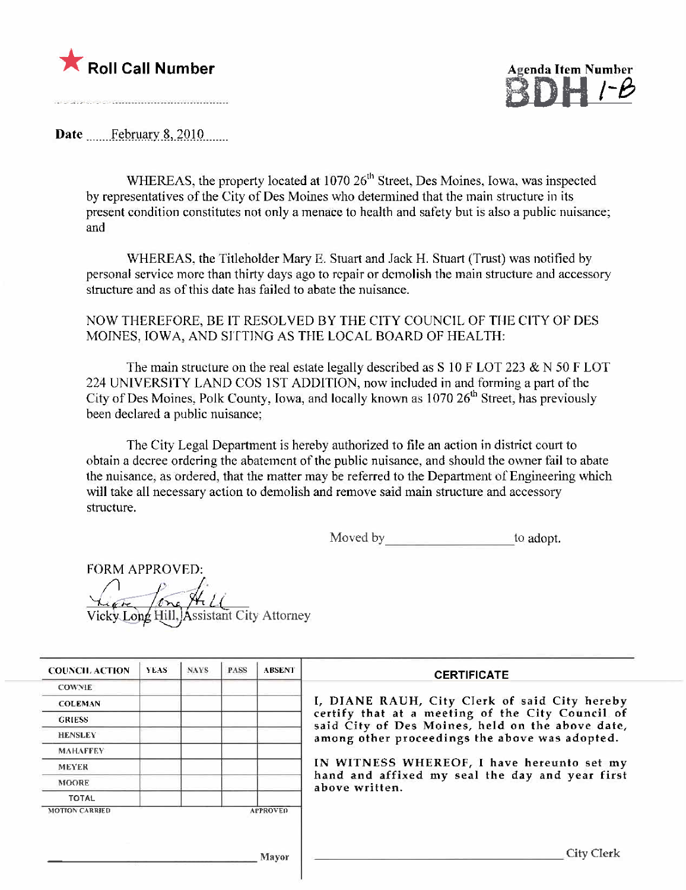

/-8

Date February 8, 2010

WHEREAS, the property located at 1070 26<sup>th</sup> Street, Des Moines, Iowa, was inspected by representatives of the City of Des Moines who detennined that the main structure in its prescnt condition constitutes not only a menace to health and safety but is also a public nuisance; and

WHEREAS, the Titleholder Mary E. Stuart and Jack H. Stuart (Trust) was notified hy personal service morc than thirty days ago to repair or demolish the main structure and accessory structure and as of this date has failed to abate the nuisance.

NOW THEREFORE, BE IT RESOLVED BY THE CITY COUNCIL OF TIlE CITY OF DES MOINES, IOWA, AND SITTING AS TIlE LOCAL BOARD OF HEALTH:

The main structure on the real estate legally described as S 10 F LOT 223 & N 50 F LOT 224 UNIVERSITY LAND COS 1ST ADDITION, now included in and forming a part of the City of Des Moines, Polk County, Iowa, and locally known as  $1070 26<sup>th</sup>$  Street, has previously been declared a public nuisance;

The City Legal Department is hereby authorized to tile an action in district court to obtain a decree ordering the abatement of the public nuisance, and should the owner fail to abate the nuisance, as ordered, that the matter may be referred to the Department of Engineering which will take all necessary action to demolish and remove said main structure and accessory structure.

Moved by to adopt.

FORM APPROVED:  $\sqrt{2}$ Vicky Long Hill, Assistant City Attorney

| <b>COUNCIL ACTION</b> | YEAS. | <b>NAYS</b> | <b>PASS</b> | <b>ABSENT</b>   | <b>CERTIFICATE</b>                                                                                   |
|-----------------------|-------|-------------|-------------|-----------------|------------------------------------------------------------------------------------------------------|
| <b>COWNIE</b>         |       |             |             |                 |                                                                                                      |
| <b>COLEMAN</b>        |       |             |             |                 | I, DIANE RAUH, City Clerk of said City hereby                                                        |
| <b>GRIESS</b>         |       |             |             |                 | certify that at a meeting of the City Council of<br>said City of Des Moines, held on the above date, |
| <b>HENSLEY</b>        |       |             |             |                 | among other proceedings the above was adopted.                                                       |
| <b>MAHAFFEY</b>       |       |             |             |                 |                                                                                                      |
| <b>MEYER</b>          |       |             |             |                 | IN WITNESS WHEREOF, I have hereunto set my                                                           |
| <b>MOORE</b>          |       |             |             |                 | hand and affixed my seal the day and year first<br>above written.                                    |
| <b>TOTAL</b>          |       |             |             |                 |                                                                                                      |
| <b>MOTION CARRIED</b> |       |             |             | <b>APPROVED</b> |                                                                                                      |
|                       |       |             |             | Mayor           | City Clerk                                                                                           |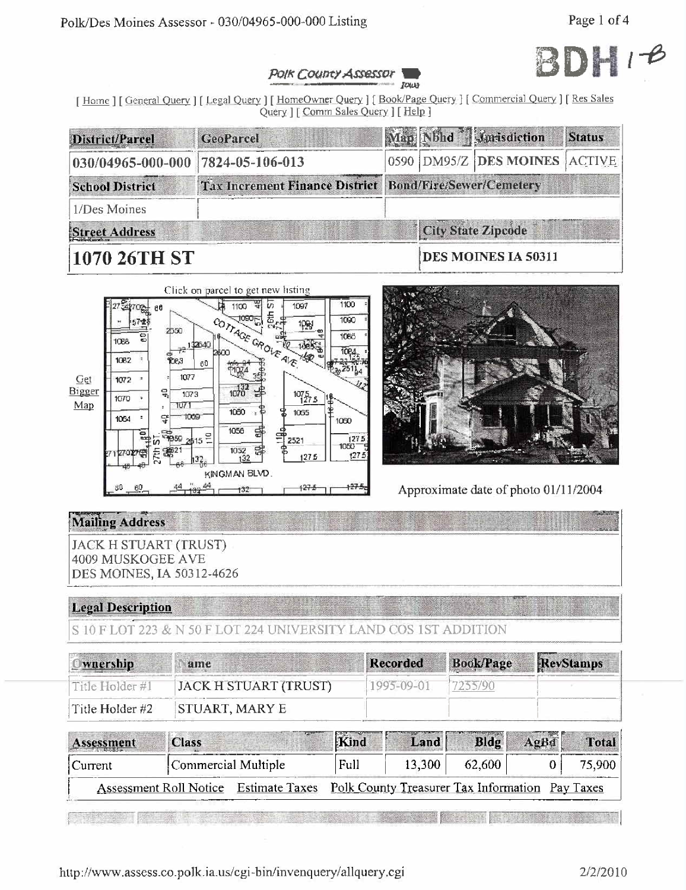

#### POIK COUNTY ASSESSOR Jowe

[Home ] [General Query ] [Legal Query ] [HomeOwner Query ] [Book/Page Query ] [Commercial Query ] [Res Sales Query ] [ Comm Sales Query ] [ Help ]

| District/Parcel         | <b>GeoParcel</b>                                        |  | Man Nbhd Marisdiction         | <b>Status</b> |
|-------------------------|---------------------------------------------------------|--|-------------------------------|---------------|
| $030/04965 - 000 - 000$ | $ 7824 - 05 - 106 - 013 $                               |  | 0590 DM95/Z DES MOINES ACTIVE |               |
| <b>School District</b>  | Tax Increment Finance District Bond/Fire/Sewer/Cemetery |  |                               |               |
| 1/Des Moines            |                                                         |  |                               |               |
| Street Address          |                                                         |  | <b>City State Zipcode</b>     |               |
| <b>1070 26TH ST</b>     |                                                         |  | DES MOINES IA 50311           |               |





Approximate date of photo 01/11/2004

## **Mailing Address**

**JACK H STUART (TRUST)** 4009 MUSKOGEE AVE DES MOINES, IA 50312-4626

## **Legal Description**

S 10 F LOT 223 & N 50 F LOT 224 UNIVERSITY LAND COS 1ST ADDITION

| <u>Iwnership</u> | ame                   | <b>Recorded</b> | <b>Book/Page</b> | RevStamps |
|------------------|-----------------------|-----------------|------------------|-----------|
| Title Holder #1  | JACK H STUART (TRUST) | 1995-09-01      |                  |           |
| Title Holder #2  | STUART, MARY E        |                 |                  |           |

| Assessment | <b>Class</b>        |                                                                                       | Kind | Land   / | <b>Bldg</b> | AgBd | Total  |
|------------|---------------------|---------------------------------------------------------------------------------------|------|----------|-------------|------|--------|
| Current    | Commercial Multiple |                                                                                       | Full | 13,300   | $62,600 +$  |      | 75,900 |
|            |                     | Assessment Roll Notice Estimate Taxes Polk County Treasurer Tax Information Pay Taxes |      |          |             |      |        |

**The Committee of the Committee** <u> I man yang berkula</u>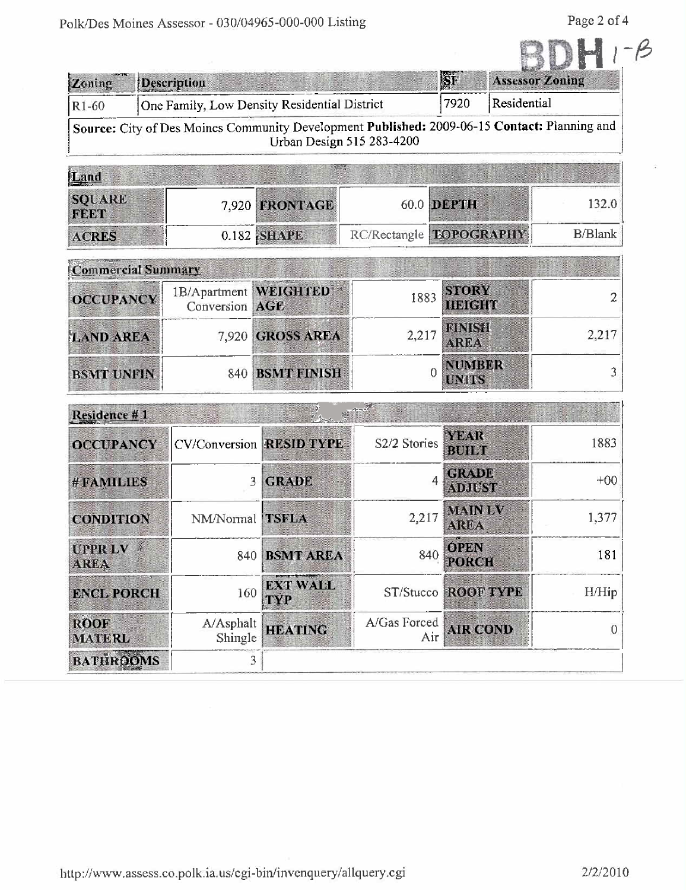Page 2 of 4

| Zoning                        | Description                             |                                              |                           | <b>IST</b>                                      | <b>Assessor Zoning</b>                                                                       |
|-------------------------------|-----------------------------------------|----------------------------------------------|---------------------------|-------------------------------------------------|----------------------------------------------------------------------------------------------|
| $R1-60$                       |                                         | One Family, Low Density Residential District |                           | 7920                                            | Residential                                                                                  |
|                               |                                         |                                              | Urban Design 515 283-4200 |                                                 | Source: City of Des Moines Community Development Published: 2009-06-15 Contact: Planning and |
| Land                          |                                         | w                                            |                           |                                                 |                                                                                              |
| <b>SQUARE</b><br><b>FEET</b>  |                                         | 7,920 FRONTAGE                               |                           | 60.0 DEPTH                                      | 132.0                                                                                        |
| <b>ACRES</b>                  |                                         | $0.182$ SHAPE                                | RC/Rectangle EOPOGRAPHY   |                                                 | <b>B/Blank</b>                                                                               |
| <b>Commercial Summary</b>     |                                         |                                              |                           |                                                 |                                                                                              |
| <b>OCCUPANCY</b>              | 1B/Apartment WEIGHTED<br>Conversion AGE |                                              | 1883                      | <b>STORY</b><br><b>HEIGHT</b>                   | 2                                                                                            |
| <b>LAND AREA</b>              |                                         | 7,920 GROSS AREA                             | 2,217                     | <b>FINISH</b><br><b>AREA</b>                    | 2,217                                                                                        |
| <b>BSMT UNFIN</b>             |                                         | 840 BSMT FINISH                              |                           | <b>NUMBER</b><br>$\theta$<br><b>UNITS</b>       | 3                                                                                            |
| Residence #1                  |                                         |                                              |                           |                                                 |                                                                                              |
| <b>OCCUPANCY</b>              |                                         | <b>CV/Conversion RESID TYPE</b>              | S2/2 Stories              | YEAR<br><b>BUILT</b>                            | 1883                                                                                         |
| #FAMILIES                     | 3                                       | <b>GRADE</b>                                 |                           | <b>GRADE</b><br>$\overline{4}$<br><b>ADJUST</b> | $+00$                                                                                        |
| <b>CONDITION</b>              | NM/Normal TSFLA                         |                                              | 2,217                     | <b>MAIN LV</b><br><b>AREA</b>                   | 1,377                                                                                        |
| <b>UPPR LV</b><br><b>AREA</b> |                                         | 840 BSMT AREA                                |                           | <b>OPEN</b><br>840<br><b>PORCH</b>              | 181                                                                                          |
| <b>ENCL PORCH</b>             | 160                                     | <b>EXT WALL</b><br>TYP                       |                           | <b>ST/Stucco ROOF TYPE</b>                      | H/Hip                                                                                        |
| <b>ROOF</b><br><b>MATERL</b>  | A/Asphalt<br>Shingle                    | <b>HEATING</b>                               | A/Gas Forced              | <b>AIR COND</b><br>Air                          | 0                                                                                            |
| <b>BATHROOMS</b>              | $\overline{3}$                          |                                              |                           |                                                 |                                                                                              |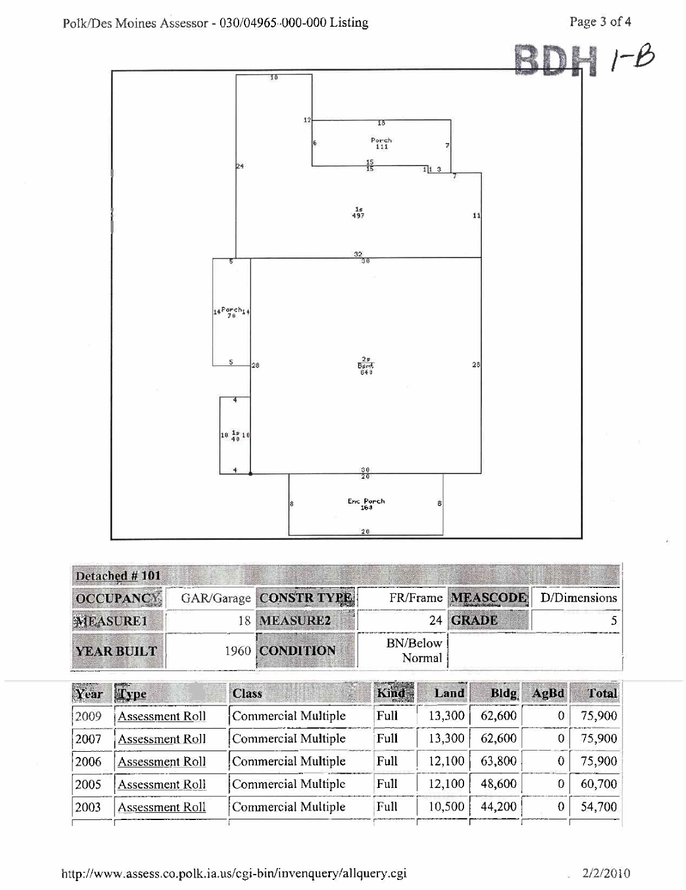

| Detached #101    |                        |                           |                                |  |
|------------------|------------------------|---------------------------|--------------------------------|--|
| <b>OCCUPANCY</b> | GAR/Garage CONSTR TYPE |                           | FR/Frame MEASCODE D/Dimensions |  |
| <b>MEASURE1</b>  | 18 MEASURE2            | 24                        | <b>GRADE</b>                   |  |
| YEAR BUILT       | 1960 CONDITION         | <b>BN/Below</b><br>Normal |                                |  |

| Year | Type                   | <b>Class</b>        | Kind | Land   | Bldg   | AgBd | Total  |
|------|------------------------|---------------------|------|--------|--------|------|--------|
| 2009 | Assessment Roll        | Commercial Multiple | Full | 13,300 | 62,600 |      | 75,900 |
| 2007 | Assessment Roll        | Commercial Multiple | Full | 13,300 | 62,600 |      | 75,900 |
| 2006 | Assessment Roll        | Commercial Multiple | Full | 12,100 | 63,800 |      | 75,900 |
| 2005 | <b>Assessment Roll</b> | Commercial Multiple | Full | 12,100 | 48,600 |      | 60,700 |
| 2003 | Assessment Roll        | Commercial Multiple | Full | 10,500 | 44,200 |      | 54,700 |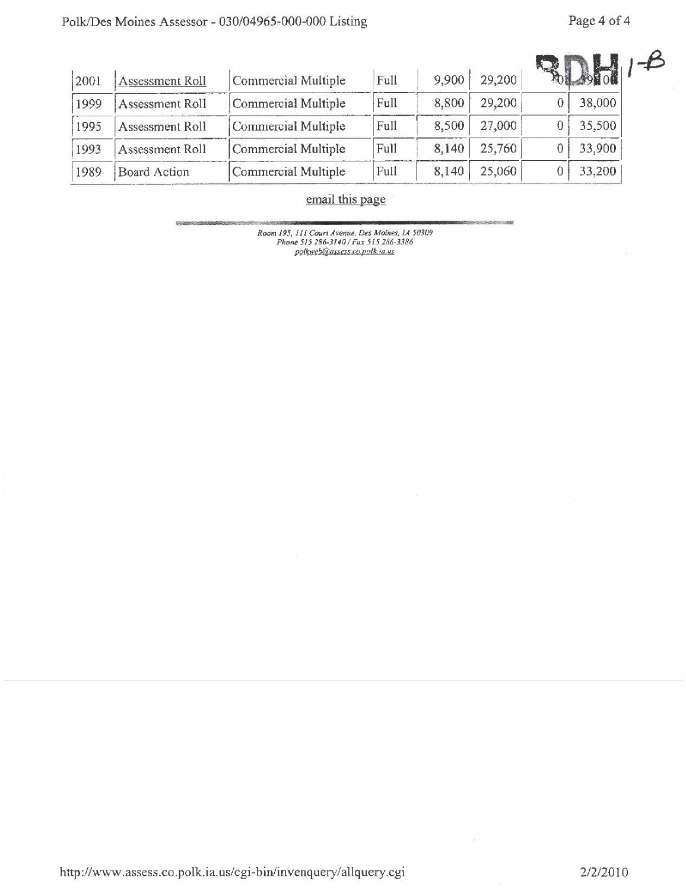| 2001 | Assessment Roll | Commercial Multiple | Full | 9,900 | 29,200 | $\frac{1}{39}$ to $\frac{1}{9}$ |
|------|-----------------|---------------------|------|-------|--------|---------------------------------|
| 1999 | Assessment Roll | Commercial Multiple | Full | 8,800 | 29,200 | 38,000                          |
| 1995 | Assessment Roll | Commercial Multiple | Full | 8,500 | 27,000 | 35,500                          |
| 1993 | Assessment Roll | Commercial Multiple | Full | 8,140 | 25,760 | 33,900                          |
| 1989 | Board Action    | Commercial Multiple | Full | 8,140 | 25,060 | 33,200                          |

# email this page

Room 195, 111 Court Avenue, Des Moines, 1A 50309<br>Phone 515 286-3140 / Fax 515 286-3386<br>polkweb@assess.co.polk.ia.us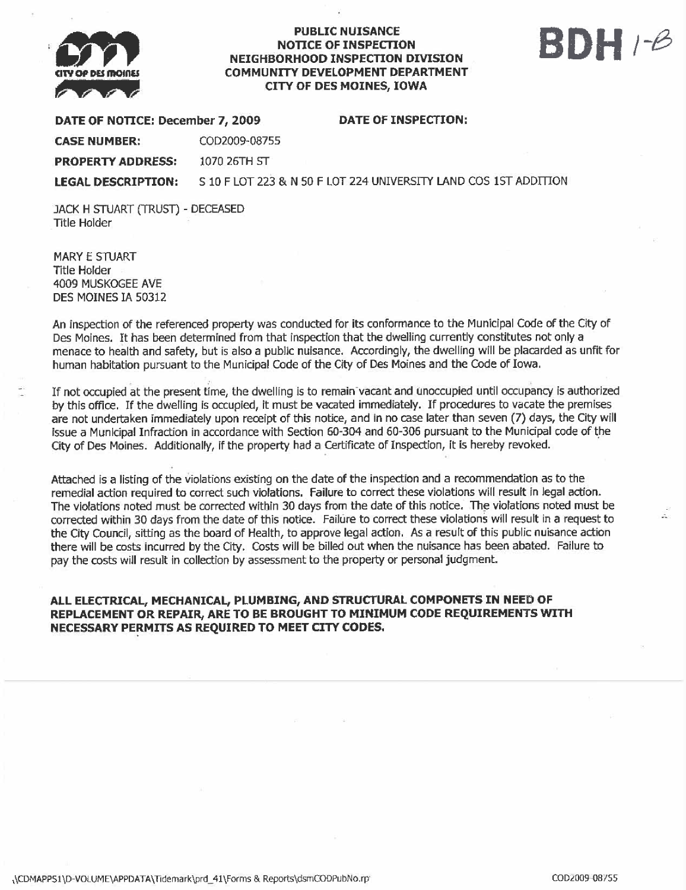

### **PUBLIC NUISANCE** NOTICE OF INSPECTON NEIGHBORHOOD INSPECTION DIVISION COMMUNITY DEVELOPMENT DEPARTMENT CITY OF DES MOINES, IOWA

# SDH 1-8

|  | DATE OF NOTICE: December 7, 2009 |  |
|--|----------------------------------|--|

DATE OF INSPECTION:

CASE NUMBER: C002009-08755 PROPERTY ADDRESS: 1070 26TH ST

LEGAL DESCRIPTION: 5 10 F LOT 223 & N 50 F LOT 224 UNIVERSITY LAND COS 1ST ADDITION

JACK H STUART (TRUST) - DECEASED Title Holder

**MARY E STUART** Title Holder 4009 MUSKOGEE AVE DES MOINES IA 50312

An inspection of the referenced property was conducted for its conformance to the Municipal Code of the City of Des Moines. It has been determined from that inspection that the dwelling currently constitutes not only a menace to health and safety, but is also a public nuisance. Accordingly, the dwelling will be placarded as unfit for human habitation pursuant to the Municipal Code of the City of Des Moines and the Code of Iowa.

If not ocupied at the present time, the dwelling is to remain-vacant and unoccupied until ocupancy is authorized by this office. If the dwelling is occupied, it must be vacated immediately. If procedures to vacate the premises are not undertaken immediately upon receipt of this notice, and in no case later than seven (7) days, the City will issue a Municipal Infraction in accordance with Section 60-304 and 60-306 pursuant to the Municipal code of the City of Des Moines. Additionally, if the property had a Certificate of Inspection, it is hereby revoked.

Attached is a listing of the violations existing on the date of the inspection and a recommendation as to the remedial action required to correct such violations. Failure to correct these violations will result in legal action. The violations noted must be corrected within 30 days from the date of this notice. The violations noted must be corrected within 30 days from the date of this notice. Failure to correct these violations will result in a request to the City Council, sitting as the board of Health, to approve legal action. As a result of this public nuisance action there wil be costs incurred by the City. Costs will be biled out when the nuisance has been abated. Failure to pay the costs will result in collection by assessment to the property or personal judgment.

## ALL ELECTRICAL, MECHANICAL, PLUMBING, AND STRUCTURAL COMPONETS IN NEED OF REPLACEMENT OR REPAIR, ARE TO BE BROUGHT TO MINIMUM CODE REQUIREMENTS WITH NECESSARY PERMITS AS REQUIREO TO MEET CITY COOES.